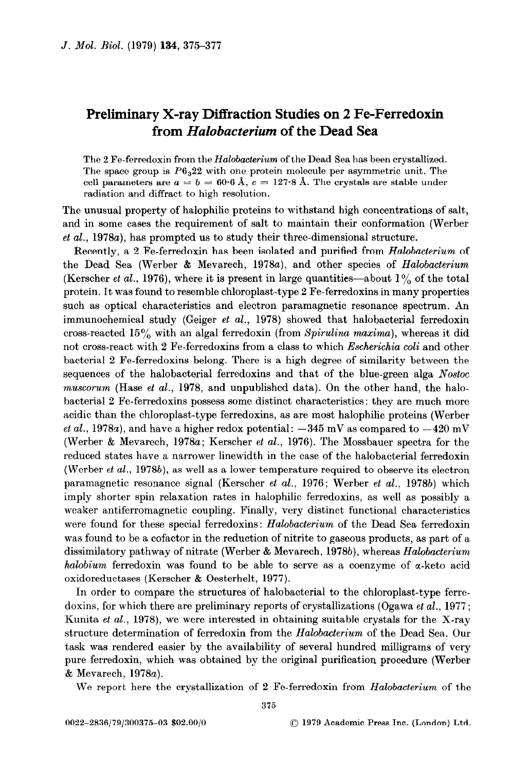## Preliminary X-ray Diffraction Studies on 2 Fe-Ferredoxin from Halobacterium of the Dead Sea

The 2 Fe-ferredoxin from the Halobacterium of the Dead Sea has been crystallized. The space group is  $P6<sub>3</sub>22$  with one protein molecule per asymmetric unit. The cell parameters are  $a = b = 60.6 \text{ Å}$ ,  $c = 127.8 \text{ Å}$ . The crystals are stable under radiation and diffract to high resolution.

The unusual property of halophilic proteins to withstand high concentrations of salt, and in some cases the requirement of salt to maintain their conformation (Werber et al., 1978a), has prompted us to study their three-dimensional structure.

Recently, a 2 Fe-ferredoxin has been isolated and purified from Halobacterium of the Dead Sea (Werber & Mevarech, 1978a), and other species of Halobacterium (Kerscher *et al.*, 1976), where it is present in large quantities—about  $1\%$  of the total protein. It was found to resemble chloroplast-type 2 Fe-ferredoxins in many properties such as optical characteristics and electron paramagnetic resonance spectrum. An immunochemical study (Geiger et al., 1978) showed that halobacterial ferredoxin cross-reacted  $15\%$  with an algal ferredoxin (from Spirulina maxima), whereas it did not cross-react with 2 Fe-ferredoxins from a class to which *Escherichia coli* and other bacterial 2 Fe-ferredoxins belong. There is a high degree of similarity between the sequences of the halobacterial ferredoxins and that of the blue-green alga Nostoc  $muscorum$  (Hase *et al.*, 1978, and unpublished data). On the other hand, the halobacterial 2 Fe-ferredoxins possess some distinct characteristics: they are much more acidic than the chloroplast-type ferredoxins, as are most halophilic proteins (Werber *et al.*, 1978a), and have a higher redox potential:  $-345$  mV as compared to  $-420$  mV (Werber & Mevarech, 1978a; Kerscher et al., 1976). The Mossbauer spectra for the reduced states have a narrower linewidth in the case of the halobacterial ferredoxin (Werber et al., 1978b), as well as a lower temperature required to observe its electron paramagnetic resonance signal (Kerscher et al., 1976; Werber et al., 1978b) which imply shorter spin relaxation rates in helophilic ferredoxins, as well as possibly a weaker antiferromagnetic coupling. Finally, very distinct functional characteristics were found for these special ferredoxins: Halobacterium of the Dead Sea ferredoxin was found to be a cofactor in the reduction of nitrite to gaseous products, as part of a dissimilatory pathway of nitrate (Werber & Mevarech, 1978b), whereas Halobacterium halobium ferredoxin was found to be able to serve as a coenzyme of  $\alpha$ -keto acid oxidoreductases (Kerscher & Oesterhelt, 1977).

In order to compare the structures of halobacterial to the chloroplast-type ferredoxins, for which there are preliminary reports of crystallizations (Ogawa et al., 1977; Kunita *et al.*, 1978), we were interested in obtaining suitable crystals for the X-ray structure determination of ferredoxin from the Halobacterium of the Dead Sea. Our task was rendered easier by the availability of several hundred milligrams of very pure ferredoxin, which was obtained by the original purification procedure (Werber & Mevarech, 1978a).

We report here the crystallization of 2 Fe-ferredoxin from Halobacterium of the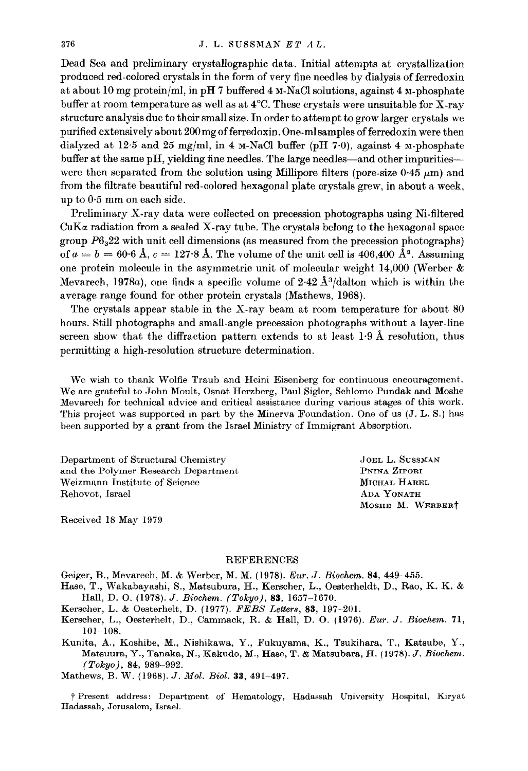Dead Sea and preliminary crystallographic data. Initial attempts at crystallization produced red-colored crystals in the form of very fine needles by dialysis of ferredoxin at about 10 mg protein/ml, in pH 7 buffered 4 M-NaCl solutions, against 4 M-phosphate buffer at room temperature as well as at 4°C. These crystals were unsuitable for X-ray structure analysis due to their small size. In order to attempt to grow larger crystals we purified extensively about 200mg of ferredoxin. One-mlsamples of ferredoxin were then dialyzed at 125 and 25 mg/ml, in 4 M-NaCl buffer (pH 7\*0), against 4 M-phosphate buffer at the same pH, yielding fine needles. The large needles-and other impuritieswere then separated from the solution using Millipore filters (pore-size  $0.45 \mu m$ ) and from the filtrate beautiful red-colored hexagonal plate crystals grew, in about a week. up to 0.5 mm on each side.

Preliminary X-ray data were collected on precession photographs using Ni-filtered CuKz radiation from a sealed X-ray tube. The crystals belong to the hexagonal space group  $P6<sub>3</sub>22$  with unit cell dimensions (as measured from the precession photographs) of  $a = b = 60.6$  Å,  $c = 127.8$  Å. The volume of the unit cell is 406,400 Å<sup>3</sup>. Assuming one protein molecule in the asymmetric unit of molecular weight 14,000 (Werber & Mevarech, 1978a), one finds a specific volume of  $2.42 \text{ Å}^3/\text{dalton}$  which is within the average range found for other protein crystals (Mathews, 1968).

The crystals appear stable in the X-ray beam at room temperature for about 80 hours. Still photographs and small-angle precession photographs without a layer-line screen show that the diffraction pattern extends to at least  $1.9 \text{ Å}$  resolution, thus permitting a high-resolution structure determination.

We wish to thank Wolfie Traub and Heini Eisenberg for continuous encouragement. We are grateful to John Moult, Osnat Herzberg, Paul Sigler, Schlomo Pundak and Moshe Mevarech for technical advice and critical assistance during various stages of this work. This project was supported in part by the Minerva Foundation. One of us (J. L. S.) has been supported by a grant from the Israel Ministry of Immigrant Absorption.

Department of Structural Chemistry and the Polymer Research Department Weizmann Institute of Science Rehovot, Israel

JOEL L. SUSSMAN PNINA ZIPORI MICHAL HAREL ADA YONATH MOSHE M. WERBERt

Received 18 May 1979

## REFERENCES

Geiger, B., Mevarech, M. & Werber, M. M. (1978). Eur. J. Biochem. 84, 449-455.

Hase, T., Wakabayashi, S., Matsubura, H., Kerscher, L., Oesterheldt, D., Rao, K. K. & Hall, D. 0. (1978). J. Biochem. (Tokyo), 83, 1657-1670.

Kerscher, L. & Oesterhelt, D. (1977). FEBS Letters, 83, 197-201.

- Kerscher, L., Oesterhelt, D., Cammack, R. & Hall, D. O. (1976). Eur. J. Biochem. 71, 101-108.
- Kunita, A., Koshibe, M., Nishikawa, Y., Fukuyama, K., Tsukihara, T., Katsube, Y., Matsuura, Y., Tanaka, N., Kakudo, M., Hase, T. & Matsubara, H. (1978). J. Biochena.  $(Tokyo)$ , 84, 989-992.

Mathews, B. W. (1968). J. Mol. Biol. 33, 491-497.

t Present address : Department of Hematology, Hadassah University Hospital, Kiryat Hadassah, Jerusalem, Israel.